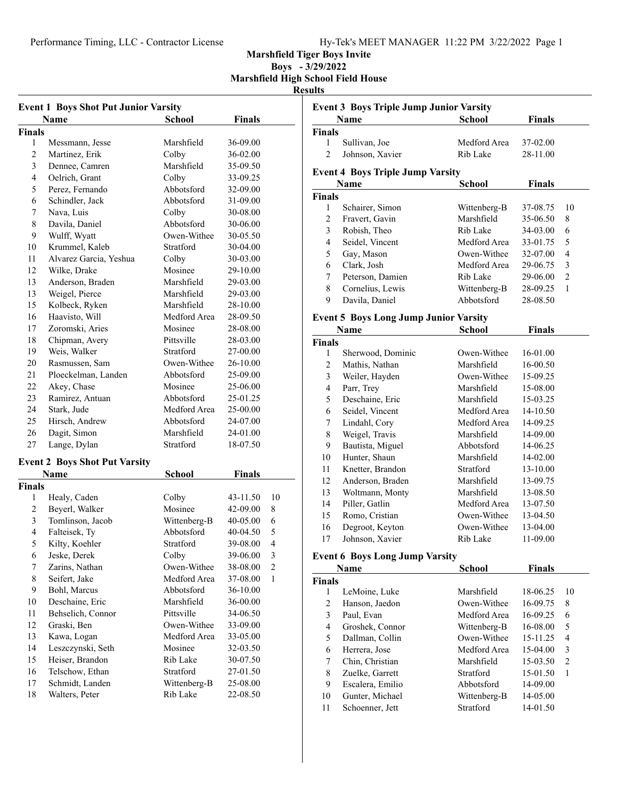## Performance Timing, LLC - Contractor License Hy-Tek's MEET MANAGER 11:22 PM 3/22/2022 Page 1

**Event 3 Boys Triple Jump Junior Varsity**

#### **Marshfield Tiger Boys Invite**

**Boys - 3/29/2022 Marshfield High School Field House**

### **Results**

| <b>Event 1 Boys Shot Put Junior Varsity</b> |                                      |              |               |                |
|---------------------------------------------|--------------------------------------|--------------|---------------|----------------|
|                                             | Name                                 | School       | Finals        |                |
| <b>Finals</b>                               |                                      |              |               |                |
| 1                                           | Messmann, Jesse                      | Marshfield   | 36-09.00      |                |
| $\overline{2}$                              | Martinez, Erik                       | Colby        | 36-02.00      |                |
| 3                                           | Dennee, Camren                       | Marshfield   | 35-09.50      |                |
| 4                                           | Oelrich, Grant                       | Colby        | 33-09.25      |                |
| 5                                           | Perez, Fernando                      | Abbotsford   | 32-09.00      |                |
| 6                                           | Schindler, Jack                      | Abbotsford   | 31-09.00      |                |
| 7                                           | Nava, Luis                           | Colby        | 30-08.00      |                |
| 8                                           | Davila, Daniel                       | Abbotsford   | 30-06.00      |                |
| 9                                           | Wulff, Wyatt                         | Owen-Withee  | 30-05.50      |                |
| 10                                          | Krummel, Kaleb                       | Stratford    | 30-04.00      |                |
| 11                                          | Alvarez Garcia, Yeshua               | Colby        | 30-03.00      |                |
| 12                                          | Wilke, Drake                         | Mosinee      | 29-10.00      |                |
| 13                                          | Anderson, Braden                     | Marshfield   | 29-03.00      |                |
| 13                                          | Weigel, Pierce                       | Marshfield   | 29-03.00      |                |
| 15                                          | Kolbeck, Ryken                       | Marshfield   | 28-10.00      |                |
| 16                                          | Haavisto, Will                       | Medford Area | 28-09.50      |                |
| 17                                          | Zoromski, Aries                      | Mosinee      | 28-08.00      |                |
| 18                                          | Chipman, Avery                       | Pittsville   | 28-03.00      |                |
| 19                                          | Weis, Walker                         | Stratford    | 27-00.00      |                |
| 20                                          | Rasmussen, Sam                       | Owen-Withee  | 26-10.00      |                |
| 21                                          | Ploeckelman, Landen                  | Abbotsford   | 25-09.00      |                |
| 22                                          | Akey, Chase                          | Mosinee      | 25-06.00      |                |
| 23                                          | Ramirez, Antuan                      | Abbotsford   | 25-01.25      |                |
| 24                                          | Stark, Jude                          | Medford Area | 25-00.00      |                |
| 25                                          | Hirsch, Andrew                       | Abbotsford   | 24-07.00      |                |
| 26                                          | Dagit, Simon                         | Marshfield   | 24-01.00      |                |
| 27                                          | Lange, Dylan                         | Stratford    | 18-07.50      |                |
|                                             |                                      |              |               |                |
|                                             | <b>Event 2 Boys Shot Put Varsity</b> |              |               |                |
|                                             | Name                                 | School       | <b>Finals</b> |                |
| <b>Finals</b>                               |                                      |              |               |                |
| 1                                           | Healy, Caden                         | Colby        | 43-11.50      | 10             |
| 2                                           | Beyerl, Walker                       | Mosinee      | 42-09.00      | 8              |
| 3                                           | Tomlinson, Jacob                     | Wittenberg-B | 40-05.00      | 6              |
| $\overline{4}$                              | Falteisek, Ty                        | Abbotsford   | 40-04.50      | 5              |
| 5                                           | Kilty, Koehler                       | Stratford    | 39-08.00      | 4              |
| 6                                           | Jeske, Derek                         | Colby        | 39-06.00      | 3              |
| 7                                           | Zarins, Nathan                       | Owen-Withee  | 38-08.00      | $\overline{c}$ |
| 8                                           | Seifert, Jake                        | Medford Area | 37-08.00      | 1              |
| 9                                           | Bohl, Marcus                         | Abbotsford   | 36-10.00      |                |
| 10                                          | Deschaine, Eric                      | Marshfield   | 36-00.00      |                |
| 11                                          | Behselich, Connor                    | Pittsville   | 34-06.50      |                |
| 12                                          | Graski, Ben                          | Owen-Withee  | 33-09.00      |                |
| 13                                          | Kawa, Logan                          | Medford Area | 33-05.00      |                |
| 14                                          | Leszczynski, Seth                    | Mosinee      | 32-03.50      |                |
| 15                                          | Heiser, Brandon                      | Rib Lake     | 30-07.50      |                |
| 16                                          | Telschow, Ethan                      | Stratford    | 27-01.50      |                |
| 17                                          | Schmidt, Landen                      | Wittenberg-B | 25-08.00      |                |
| 18                                          | Walters, Peter                       | Rib Lake     | 22-08.50      |                |

| Name                    |                                              | <b>School</b>            | <b>Finals</b> |                |
|-------------------------|----------------------------------------------|--------------------------|---------------|----------------|
| <b>Finals</b>           |                                              |                          |               |                |
| 1                       | Sullivan, Joe                                | Medford Area             | 37-02.00      |                |
| $\overline{c}$          | Johnson, Xavier                              | Rib Lake                 | 28-11.00      |                |
|                         |                                              |                          |               |                |
|                         | <b>Event 4 Boys Triple Jump Varsity</b>      |                          |               |                |
|                         | Name                                         | School                   | <b>Finals</b> |                |
| <b>Finals</b>           |                                              |                          |               |                |
| 1                       | Schairer, Simon                              | Wittenberg-B             | 37-08.75      | 10             |
| $\overline{c}$          | Fravert, Gavin                               | Marshfield               | 35-06.50      | 8              |
| 3                       | Robish, Theo                                 | Rib Lake                 | 34-03.00      | 6              |
| $\overline{4}$          | Seidel, Vincent                              | Medford Area             | 33-01.75      | 5              |
| 5                       | Gay, Mason                                   | Owen-Withee              | 32-07.00      | $\overline{4}$ |
| 6                       | Clark, Josh                                  | Medford Area             | 29-06.75      | 3              |
| 7                       | Peterson, Damien                             | Rib Lake                 | 29-06.00      | $\overline{c}$ |
| 8                       | Cornelius, Lewis                             | Wittenberg-B             | 28-09.25      | 1              |
| 9                       | Davila, Daniel                               | Abbotsford               | 28-08.50      |                |
|                         | <b>Event 5 Boys Long Jump Junior Varsity</b> |                          |               |                |
|                         | <b>Name</b>                                  | School                   | <b>Finals</b> |                |
| <b>Finals</b>           |                                              |                          |               |                |
| 1                       | Sherwood, Dominic                            | Owen-Withee              | 16-01.00      |                |
| 2                       | Mathis, Nathan                               | Marshfield               | 16-00.50      |                |
| 3                       | Weiler, Hayden                               | Owen-Withee              | 15-09.25      |                |
|                         |                                              |                          |               |                |
| $\overline{\mathbf{4}}$ | Parr, Trey                                   | Marshfield<br>Marshfield | 15-08.00      |                |
| 5                       | Deschaine, Eric                              |                          | 15-03.25      |                |
| 6                       | Seidel, Vincent                              | Medford Area             | 14-10.50      |                |
| 7                       | Lindahl, Cory                                | Medford Area             | 14-09.25      |                |
| $\,$ $\,$               | Weigel, Travis                               | Marshfield               | 14-09.00      |                |
| 9                       | Bautista, Miguel                             | Abbotsford               | 14-06.25      |                |
| 10                      | Hunter, Shaun                                | Marshfield               | 14-02.00      |                |
| 11                      | Knetter, Brandon                             | Stratford                | 13-10.00      |                |
| 12                      | Anderson, Braden                             | Marshfield               | 13-09.75      |                |
| 13                      | Woltmann, Monty                              | Marshfield               | 13-08.50      |                |
| 14                      | Piller, Gatlin                               | Medford Area             | 13-07.50      |                |
| 15                      | Romo, Cristian                               | Owen-Withee              | 13-04.50      |                |
| 16                      | Degroot, Keyton                              | Owen-Withee              | 13-04.00      |                |
| 17                      | Johnson, Xavier                              | Rib Lake                 | 11-09.00      |                |
|                         | <b>Event 6 Boys Long Jump Varsity</b>        |                          |               |                |
|                         | <b>Name</b>                                  | <b>School</b>            | Finals        |                |
| <b>Finals</b>           |                                              |                          |               |                |
| 1                       | LeMoine, Luke                                | Marshfield               | 18-06.25      | 10             |
| $\overline{c}$          | Hanson, Jaedon                               | Owen-Withee              | 16-09.75      | 8              |
| 3                       | Paul, Evan                                   | Medford Area             | 16-09.25      | 6              |
| $\overline{4}$          | Groshek, Connor                              | Wittenberg-B             | 16-08.00      | 5              |
| 5                       | Dallman, Collin                              | Owen-Withee              | 15-11.25      | 4              |
| 6                       | Herrera, Jose                                | Medford Area             |               | 3              |
|                         | Chin, Christian                              | Marshfield               | 15-04.00      | $\overline{c}$ |
| 7                       |                                              |                          | 15-03.50      |                |
| 8                       | Zuelke, Garrett                              | Stratford                | 15-01.50      | 1              |
| 9                       | Escalera, Emilio                             | Abbotsford               | 14-09.00      |                |
| 10                      | Gunter, Michael                              | Wittenberg-B             | 14-05.00      |                |

11 Schoenner, Jett Stratford 14-01.50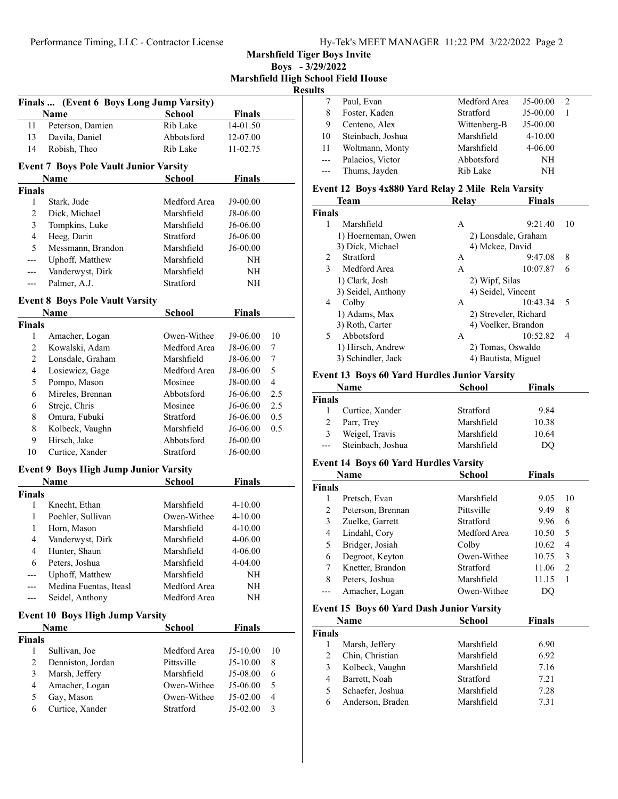**Marshfield Tiger Boys Invite**

**Boys - 3/29/2022 Marshfield High School Field House Results**

| Finals  (Event 6 Boys Long Jump Varsity) |                                               |                         |               |                |
|------------------------------------------|-----------------------------------------------|-------------------------|---------------|----------------|
|                                          | Name                                          | <b>School</b>           | Finals        |                |
| 11                                       | Peterson, Damien                              | Rib Lake                | 14-01.50      |                |
| 13                                       | Davila, Daniel                                | Abbotsford              | 12-07.00      |                |
| 14                                       | Robish, Theo                                  | Rib Lake                | 11-02.75      |                |
|                                          | <b>Event 7 Boys Pole Vault Junior Varsity</b> |                         |               |                |
|                                          | Name                                          | School                  | Finals        |                |
| <b>Finals</b>                            |                                               |                         |               |                |
| 1                                        | Stark, Jude                                   | Medford Area            | J9-00.00      |                |
| 2                                        | Dick, Michael                                 | Marshfield              | J8-06.00      |                |
| 3                                        | Tompkins, Luke                                | Marshfield              | J6-06.00      |                |
| 4                                        | Heeg, Darin                                   | Stratford               | J6-06.00      |                |
| 5                                        | Messmann, Brandon                             | Marshfield              | J6-00.00      |                |
| ---                                      | Uphoff, Matthew                               | Marshfield              | NH            |                |
| ---                                      | Vanderwyst, Dirk                              | Marshfield              | NΗ            |                |
| ---                                      | Palmer, A.J.                                  | Stratford               | NΗ            |                |
|                                          |                                               |                         |               |                |
|                                          | <b>Event 8 Boys Pole Vault Varsity</b>        |                         |               |                |
|                                          | Name                                          | School                  | <b>Finals</b> |                |
| <b>Finals</b>                            |                                               |                         |               |                |
| 1                                        | Amacher, Logan                                | Owen-Withee             | J9-06.00      | 10             |
| 2                                        | Kowalski, Adam                                | Medford Area            | J8-06.00      | 7              |
| 2                                        | Lonsdale, Graham                              | Marshfield              | J8-06.00      | 7<br>5         |
| 4                                        | Losiewicz, Gage                               | Medford Area            | J8-06.00      |                |
| 5                                        | Pompo, Mason                                  | Mosinee                 | J8-00.00      | $\overline{4}$ |
| 6                                        | Mireles, Brennan                              | Abbotsford              | J6-06.00      | 2.5            |
| 6                                        | Strejc, Chris                                 | Mosinee                 | J6-06.00      | 2.5            |
| 8                                        | Omura, Fubuki                                 | Stratford               | J6-06.00      | 0.5            |
| 8                                        | Kolbeck, Vaughn                               | Marshfield              | J6-06.00      | 0.5            |
| 9                                        | Hirsch, Jake                                  | Abbotsford<br>Stratford | J6-00.00      |                |
| 10                                       | Curtice, Xander                               |                         | J6-00.00      |                |
|                                          | <b>Event 9 Boys High Jump Junior Varsity</b>  |                         |               |                |
|                                          | Name                                          | School                  | <b>Finals</b> |                |
| <b>Finals</b>                            |                                               |                         |               |                |
| 1                                        | Knecht, Ethan                                 | Marshfield              | 4-10.00       |                |
| 1                                        | Poehler, Sullivan                             | Owen-Withee             | 4-10.00       |                |
| 1                                        | Horn, Mason                                   | Marshfield              | 4-10.00       |                |
| 4                                        | Vanderwyst, Dirk                              | Marshfield              | 4-06.00       |                |
| 4                                        | Hunter, Shaun                                 | Marshfield              | 4-06.00       |                |
| 6                                        | Peters, Joshua                                | Marshfield              | 4-04.00       |                |
| ---                                      | Uphoff, Matthew                               | Marshfield              | NH            |                |
| ---                                      | Medina Fuentas, Iteasl                        | Medford Area            | NH            |                |
|                                          | Seidel, Anthony                               | Medford Area            | NΗ            |                |
|                                          | <b>Event 10 Boys High Jump Varsity</b>        |                         |               |                |
|                                          | Name                                          | School                  | <b>Finals</b> |                |
| <b>Finals</b>                            |                                               |                         |               |                |
| 1                                        | Sullivan, Joe                                 | Medford Area            | J5-10.00      | 10             |
| $\overline{2}$                           | Denniston, Jordan                             | Pittsville              | J5-10.00      | 8              |
| 3                                        | Marsh, Jeffery                                | Marshfield              | J5-08.00      | 6              |
| 4                                        | Amacher, Logan                                | Owen-Withee             | J5-06.00      | 5              |
| 5                                        | Gay, Mason                                    | Owen-Withee             | J5-02.00      | 4              |
| 6                                        | Curtice, Xander                               | Stratford               | J5-02.00      | 3              |
|                                          |                                               |                         |               |                |

| Ö.             |                   |              |             |               |  |
|----------------|-------------------|--------------|-------------|---------------|--|
|                | Paul, Evan        | Medford Area | $J5-00.00$  | $\mathcal{D}$ |  |
| 8              | Foster, Kaden     | Stratford    | $J5-00.00$  |               |  |
| 9              | Centeno, Alex     | Wittenberg-B | $J5-00.00$  |               |  |
| 10             | Steinbach, Joshua | Marshfield   | $4 - 10.00$ |               |  |
| 11             | Woltmann, Monty   | Marshfield   | $4 - 06.00$ |               |  |
| $\sim$         | Palacios, Victor  | Abbotsford   | NΗ          |               |  |
| $\overline{a}$ | Thums, Jayden     | Rib Lake     | NΗ          |               |  |
|                |                   |              |             |               |  |

#### **Event 12 Boys 4x880 Yard Relay 2 Mile Rela Varsity**

|               | <b>Team</b>        | Relay           | <b>Finals</b>         |  |
|---------------|--------------------|-----------------|-----------------------|--|
| <b>Finals</b> |                    |                 |                       |  |
|               | Marshfield         | A               | 9:21.40<br>10         |  |
|               | 1) Hoerneman, Owen |                 | 2) Lonsdale, Graham   |  |
|               | 3) Dick, Michael   | 4) Mckee, David |                       |  |
| 2             | Stratford          | А               | 8<br>9:47.08          |  |
| 3             | Medford Area       | A               | 10:07.87<br>6         |  |
|               | 1) Clark, Josh     | 2) Wipf, Silas  |                       |  |
|               | 3) Seidel, Anthony |                 | 4) Seidel, Vincent    |  |
| 4             | Colby              | А               | 10:43.34<br>5         |  |
|               | 1) Adams, Max      |                 | 2) Streveler, Richard |  |
|               | 3) Roth, Carter    |                 | 4) Voelker, Brandon   |  |
| 5             | Abbotsford         | A               | 10:52.82<br>4         |  |
|               | 1) Hirsch, Andrew  |                 | 2) Tomas, Oswaldo     |  |
|               | 3) Schindler, Jack |                 | 4) Bautista, Miguel   |  |
|               |                    |                 |                       |  |

#### **Event 13 Boys 60 Yard Hurdles Junior Varsity**

| Name          |                   | <b>School</b> | <b>Finals</b> |  |
|---------------|-------------------|---------------|---------------|--|
| <b>Finals</b> |                   |               |               |  |
|               | Curtice, Xander   | Stratford     | 9.84          |  |
| 2             | Parr, Trey        | Marshfield    | 10.38         |  |
| 3             | Weigel, Travis    | Marshfield    | 10.64         |  |
| $---$         | Steinbach, Joshua | Marshfield    | DO            |  |

#### **Event 14 Boys 60 Yard Hurdles Varsity**

| Name          |                   | School       | Finals |                                                                                                                                                                                                                                                                                                                                                                                                             |
|---------------|-------------------|--------------|--------|-------------------------------------------------------------------------------------------------------------------------------------------------------------------------------------------------------------------------------------------------------------------------------------------------------------------------------------------------------------------------------------------------------------|
| <b>Finals</b> |                   |              |        |                                                                                                                                                                                                                                                                                                                                                                                                             |
|               | Pretsch, Evan     | Marshfield   | 9.05   | 10                                                                                                                                                                                                                                                                                                                                                                                                          |
| 2             | Peterson, Brennan | Pittsville   | 9.49   | 8                                                                                                                                                                                                                                                                                                                                                                                                           |
| 3             | Zuelke, Garrett   | Stratford    | 9.96   | 6                                                                                                                                                                                                                                                                                                                                                                                                           |
| 4             | Lindahl, Cory     | Medford Area | 10.50  | 5                                                                                                                                                                                                                                                                                                                                                                                                           |
| 5             | Bridger, Josiah   | Colby        | 10.62  | 4                                                                                                                                                                                                                                                                                                                                                                                                           |
| 6             | Degroot, Keyton   | Owen-Withee  | 10.75  | 3                                                                                                                                                                                                                                                                                                                                                                                                           |
| 7             | Knetter, Brandon  | Stratford    | 11.06  | $\mathfrak{D}_{1}^{(1)} = \mathfrak{D}_{2}^{(1)} = \mathfrak{D}_{2}^{(1)} = \mathfrak{D}_{2}^{(1)} = \mathfrak{D}_{2}^{(1)} = \mathfrak{D}_{2}^{(1)} = \mathfrak{D}_{2}^{(1)} = \mathfrak{D}_{2}^{(1)} = \mathfrak{D}_{2}^{(1)} = \mathfrak{D}_{2}^{(1)} = \mathfrak{D}_{2}^{(1)} = \mathfrak{D}_{2}^{(1)} = \mathfrak{D}_{2}^{(1)} = \mathfrak{D}_{2}^{(1)} = \mathfrak{D}_{2}^{(1)} = \mathfrak{D}_{2}^{$ |
| 8             | Peters, Joshua    | Marshfield   | 11.15  |                                                                                                                                                                                                                                                                                                                                                                                                             |
|               | Amacher, Logan    | Owen-Withee  |        |                                                                                                                                                                                                                                                                                                                                                                                                             |

#### **Event 15 Boys 60 Yard Dash Junior Varsity**

|               | Name             | <b>School</b> | <b>Finals</b> |  |
|---------------|------------------|---------------|---------------|--|
| <b>Finals</b> |                  |               |               |  |
|               | Marsh, Jeffery   | Marshfield    | 6.90          |  |
| 2             | Chin, Christian  | Marshfield    | 6.92          |  |
| 3             | Kolbeck, Vaughn  | Marshfield    | 7.16          |  |
| 4             | Barrett, Noah    | Stratford     | 7.21          |  |
| 5             | Schaefer, Joshua | Marshfield    | 7.28          |  |
| 6             | Anderson, Braden | Marshfield    | 7.31          |  |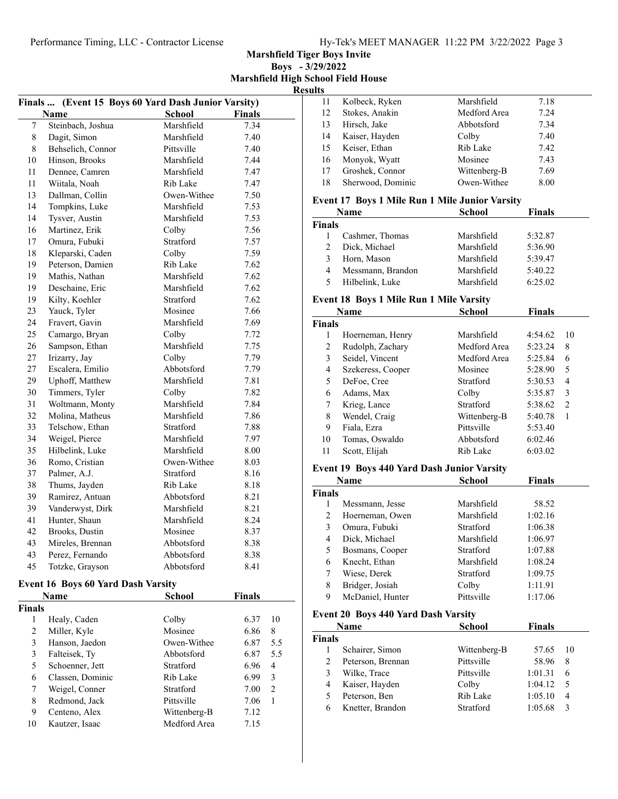**Marshfield Tiger Boys Invite**

**Boys - 3/29/2022 Marshfield High School Field House Results**

|                | (Event 15 Boys 60 Yard Dash Junior Varsity)<br>Finals |             |               |    |  |
|----------------|-------------------------------------------------------|-------------|---------------|----|--|
|                | Name                                                  | School      | <b>Finals</b> |    |  |
| 7              | Steinbach, Joshua                                     | Marshfield  | 7.34          |    |  |
| 8              | Dagit, Simon                                          | Marshfield  | 7.40          |    |  |
| 8              | Behselich, Connor                                     | Pittsville  | 7.40          |    |  |
| 10             | Hinson, Brooks                                        | Marshfield  | 7.44          |    |  |
| 11             | Dennee, Camren                                        | Marshfield  | 7.47          |    |  |
| 11             | Wiitala, Noah                                         | Rib Lake    | 7.47          |    |  |
| 13             | Dallman, Collin                                       | Owen-Withee | 7.50          |    |  |
| 14             | Tompkins, Luke                                        | Marshfield  | 7.53          |    |  |
| 14             | Tysver, Austin                                        | Marshfield  | 7.53          |    |  |
| 16             | Martinez, Erik                                        | Colby       | 7.56          |    |  |
| 17             | Omura. Fubuki                                         | Stratford   | 7.57          |    |  |
| 18             | Kleparski, Caden                                      | Colby       | 7.59          |    |  |
| 19             | Peterson, Damien                                      | Rib Lake    | 7.62          |    |  |
| 19             | Mathis, Nathan                                        | Marshfield  | 7.62          |    |  |
| 19             | Deschaine, Eric                                       | Marshfield  | 7.62          |    |  |
| 19             | Kilty, Koehler                                        | Stratford   | 7.62          |    |  |
| 23             | Yauck, Tyler                                          | Mosinee     | 7.66          |    |  |
| 24             | Fravert, Gavin                                        | Marshfield  | 7.69          |    |  |
| 25             | Camargo, Bryan                                        | Colby       | 7.72          |    |  |
| 26             | Sampson, Ethan                                        | Marshfield  | 7.75          |    |  |
| 27             | Irizarry, Jay                                         | Colby       | 7.79          |    |  |
| 27             | Escalera, Emilio                                      | Abbotsford  | 7.79          |    |  |
| 29             | Uphoff, Matthew                                       | Marshfield  | 7.81          |    |  |
| 30             | Timmers, Tyler                                        | Colby       | 7.82          |    |  |
| 31             | Woltmann, Monty                                       | Marshfield  | 7.84          |    |  |
| 32             | Molina, Matheus                                       | Marshfield  | 7.86          |    |  |
| 33             | Telschow, Ethan                                       | Stratford   | 7.88          |    |  |
| 34             | Weigel, Pierce                                        | Marshfield  | 7.97          |    |  |
| 35             | Hilbelink, Luke                                       | Marshfield  | 8.00          |    |  |
| 36             | Romo, Cristian                                        | Owen-Withee | 8.03          |    |  |
| 37             | Palmer, A.J.                                          | Stratford   | 8.16          |    |  |
| 38             | Thums, Jayden                                         | Rib Lake    | 8.18          |    |  |
| 39             | Ramirez, Antuan                                       | Abbotsford  | 8.21          |    |  |
| 39             | Vanderwyst, Dirk                                      | Marshfield  | 8.21          |    |  |
| 41             | Hunter, Shaun                                         | Marshfield  | 8.24          |    |  |
| 42             | Brooks, Dustin                                        | Mosinee     | 8.37          |    |  |
| 43             | Mireles, Brennan                                      | Abbotsford  | 8.38          |    |  |
| 43             | Perez, Fernando                                       | Abbotsford  | 8.38          |    |  |
| 45             | Totzke, Grayson                                       | Abbotsford  | 8.41          |    |  |
|                | <b>Event 16 Boys 60 Yard Dash Varsity</b>             |             |               |    |  |
|                | Name                                                  |             | <b>Finals</b> |    |  |
|                |                                                       | School      |               |    |  |
| Finals<br>1    | Healy, Caden                                          | Colby       | 6.37          | 10 |  |
| $\overline{c}$ | Miller, Kyle                                          | Mosinee     | 6.86          | 8  |  |
|                |                                                       |             |               |    |  |

|    | Miller, Kyle     | Mosinee      | 6.86 | 8              |
|----|------------------|--------------|------|----------------|
|    | Hanson, Jaedon   | Owen-Withee  | 6.87 | 5.5            |
|    | Falteisek, Ty    | Abbotsford   | 6.87 | 5.5            |
| 5  | Schoenner, Jett  | Stratford    | 6.96 | $\overline{4}$ |
| 6  | Classen, Dominic | Rib Lake     | 6.99 | 3              |
|    | Weigel, Conner   | Stratford    | 7.00 | $\mathcal{L}$  |
| 8  | Redmond, Jack    | Pittsville   | 7.06 |                |
| 9  | Centeno, Alex    | Wittenberg-B | 7.12 |                |
| 10 | Kautzer, Isaac   | Medford Area | 7.15 |                |

| шэ |                   |              |      |
|----|-------------------|--------------|------|
| 11 | Kolbeck, Ryken    | Marshfield   | 7.18 |
| 12 | Stokes, Anakin    | Medford Area | 7.24 |
| 13 | Hirsch, Jake      | Abbotsford   | 7.34 |
| 14 | Kaiser, Hayden    | Colby        | 7.40 |
| 15 | Keiser, Ethan     | Rib Lake     | 7.42 |
| 16 | Monyok, Wyatt     | Mosinee      | 7.43 |
| 17 | Groshek, Connor   | Wittenberg-B | 7.69 |
| 18 | Sherwood, Dominic | Owen-Withee  | 8.00 |

#### **Event 17 Boys 1 Mile Run 1 Mile Junior Varsity**

|               | <b>Name</b>       | <b>School</b> | <b>Finals</b> |  |
|---------------|-------------------|---------------|---------------|--|
| <b>Finals</b> |                   |               |               |  |
|               | Cashmer, Thomas   | Marshfield    | 5:32.87       |  |
| 2             | Dick, Michael     | Marshfield    | 5:36.90       |  |
| 3             | Horn, Mason       | Marshfield    | 5:39.47       |  |
| 4             | Messmann, Brandon | Marshfield    | 5:40.22       |  |
| 5             | Hilbelink, Luke   | Marshfield    | 6:25.02       |  |

## **Event 18 Boys 1 Mile Run 1 Mile Varsity**

|               | Name              | School       | <b>Finals</b> |                               |
|---------------|-------------------|--------------|---------------|-------------------------------|
| <b>Finals</b> |                   |              |               |                               |
| 1             | Hoerneman, Henry  | Marshfield   | 4:54.62       | 10                            |
| 2             | Rudolph, Zachary  | Medford Area | 5:23.24       | 8                             |
| 3             | Seidel, Vincent   | Medford Area | 5:25.84       | 6                             |
| 4             | Szekeress, Cooper | Mosinee      | 5:28.90       | 5                             |
| 5             | DeFoe, Cree       | Stratford    | 5:30.53       | 4                             |
| 6             | Adams, Max        | Colby        | 5:35.87       | 3                             |
| 7             | Krieg, Lance      | Stratford    | 5:38.62       | $\mathfrak{D}_{\mathfrak{p}}$ |
| 8             | Wendel, Craig     | Wittenberg-B | 5:40.78       | 1                             |
| 9             | Fiala, Ezra       | Pittsville   | 5:53.40       |                               |
| 10            | Tomas, Oswaldo    | Abbotsford   | 6:02.46       |                               |
| 11            | Scott, Elijah     | Rib Lake     | 6:03.02       |                               |
|               |                   |              |               |                               |

#### **Event 19 Boys 440 Yard Dash Junior Varsity**

| <b>Name</b>      | School     | <b>Finals</b> |  |
|------------------|------------|---------------|--|
| Finals           |            |               |  |
| Messmann, Jesse  | Marshfield | 58.52         |  |
| Hoerneman, Owen  | Marshfield | 1:02.16       |  |
| Omura, Fubuki    | Stratford  | 1:06.38       |  |
| Dick, Michael    | Marshfield | 1:06.97       |  |
| Bosmans, Cooper  | Stratford  | 1:07.88       |  |
| Knecht, Ethan    | Marshfield | 1:08.24       |  |
| Wiese, Derek     | Stratford  | 1:09.75       |  |
| Bridger, Josiah  | Colby      | 1:11.91       |  |
| McDaniel, Hunter | Pittsville | 1:17.06       |  |
|                  |            |               |  |

#### **Event 20 Boys 440 Yard Dash Varsity**

|               | Name              | <b>School</b> | <b>Finals</b> |     |
|---------------|-------------------|---------------|---------------|-----|
| <b>Finals</b> |                   |               |               |     |
|               | Schairer, Simon   | Wittenberg-B  | 57.65         | -10 |
| 2             | Peterson, Brennan | Pittsville    | 58.96         | 8   |
| 3             | Wilke, Trace      | Pittsville    | 1:01.31       | 6   |
| 4             | Kaiser, Hayden    | Colby         | 1:04.12       | 5   |
| 5             | Peterson, Ben     | Rib Lake      | 1:05.10       | 4   |
| 6             | Knetter, Brandon  | Stratford     | 1:05.68       |     |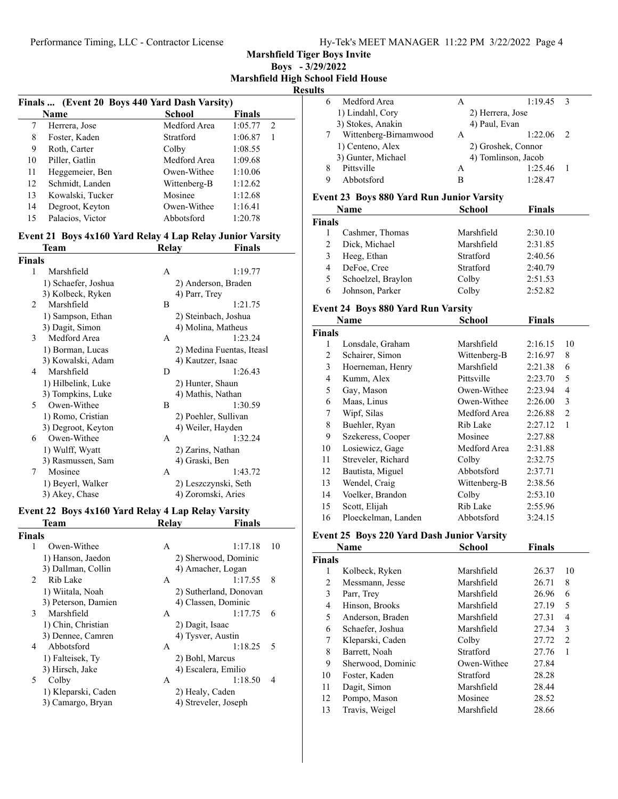**Marshfield Tiger Boys Invite**

**Boys - 3/29/2022 Marshfield High School Field House**

## **Results**

|    |                                               |                  |               | ш |
|----|-----------------------------------------------|------------------|---------------|---|
|    | Finals  (Event 20 Boys 440 Yard Dash Varsity) |                  |               |   |
|    | Name                                          | School           | <b>Finals</b> |   |
| 7  | Herrera, Jose                                 | Medford Area     | 1:05.77<br>2  |   |
| 8  | Foster, Kaden                                 | <b>Stratford</b> | 1:06.87       |   |
| 9  | Roth, Carter                                  | Colby            | 1:08.55       |   |
| 10 | Piller, Gatlin                                | Medford Area     | 1:09.68       |   |
| 11 | Heggemeier, Ben                               | Owen-Withee      | 1:10.06       |   |
| 12 | Schmidt, Landen                               | Wittenberg-B     | 1:12.62       |   |
| 13 | Kowalski, Tucker                              | Mosinee          | 1:12.68       |   |
| 14 | Degroot, Keyton                               | Owen-Withee      | 1:16.41       |   |
| 15 | Palacios, Victor                              | Abbotsford       | 1:20.78       |   |

# **Event 21 Boys 4x160 Yard Relay 4 Lap Relay Junior Varsity**

| Team                | Relay |                      | Finals                    |  |
|---------------------|-------|----------------------|---------------------------|--|
| Finals              |       |                      |                           |  |
| Marshfield<br>1     | A     |                      | 1:19.77                   |  |
| 1) Schaefer, Joshua |       | 2) Anderson, Braden  |                           |  |
| 3) Kolbeck, Ryken   |       | 4) Parr, Trey        |                           |  |
| Marshfield<br>2     | B     |                      | 1:21.75                   |  |
| 1) Sampson, Ethan   |       | 2) Steinbach, Joshua |                           |  |
| 3) Dagit, Simon     |       | 4) Molina, Matheus   |                           |  |
| Medford Area<br>3   | A     |                      | 1:23.24                   |  |
| 1) Borman, Lucas    |       |                      | 2) Medina Fuentas, Iteasl |  |
| 3) Kowalski, Adam   |       | 4) Kautzer, Isaac    |                           |  |
| Marshfield<br>4     | D     |                      | 1:26.43                   |  |
| 1) Hilbelink, Luke  |       | 2) Hunter, Shaun     |                           |  |
| 3) Tompkins, Luke   |       | 4) Mathis, Nathan    |                           |  |
| Owen-Withee<br>5    | B     |                      | 1:30.59                   |  |
| 1) Romo, Cristian   |       | 2) Poehler, Sullivan |                           |  |
| 3) Degroot, Keyton  |       | 4) Weiler, Hayden    |                           |  |
| Owen-Withee<br>6    | A     |                      | 1:32.24                   |  |
| 1) Wulff, Wyatt     |       | 2) Zarins, Nathan    |                           |  |
| 3) Rasmussen, Sam   |       | 4) Graski, Ben       |                           |  |
| Mosinee<br>7        | A     |                      | 1:43.72                   |  |
| 1) Beyerl, Walker   |       | 2) Leszczynski, Seth |                           |  |
| 3) Akey, Chase      |       | 4) Zoromski, Aries   |                           |  |

#### **Event 22 Boys 4x160 Yard Relay 4 Lap Relay Varsity**

|                | <b>Team</b>         | Relay           | <b>Finals</b>          |
|----------------|---------------------|-----------------|------------------------|
| <b>Finals</b>  |                     |                 |                        |
| 1              | Owen-Withee         | A               | 10<br>1:17.18          |
|                | 1) Hanson, Jaedon   |                 | 2) Sherwood, Dominic   |
|                | 3) Dallman, Collin  |                 | 4) Amacher, Logan      |
| $\mathfrak{D}$ | Rib Lake            | A               | 1:17.55<br>8           |
|                | 1) Wiitala, Noah    |                 | 2) Sutherland, Donovan |
|                | 3) Peterson, Damien |                 | 4) Classen, Dominic    |
| 3              | Marshfield          | A               | 1:17.75<br>6           |
|                | 1) Chin, Christian  | 2) Dagit, Isaac |                        |
|                | 3) Dennee, Camren   |                 | 4) Tysver, Austin      |
| 4              | Abbotsford          | A               | 1:18.25<br>-5          |
|                | 1) Falteisek, Ty    | 2) Bohl, Marcus |                        |
|                | 3) Hirsch, Jake     |                 | 4) Escalera, Emilio    |
| 5              | Colby               | A               | 1:18.50<br>4           |
|                | 1) Kleparski, Caden | 2) Healy, Caden |                        |
|                | 3) Camargo, Bryan   |                 | 4) Streveler, Joseph   |
|                |                     |                 |                        |

| э |                       |               |                     |  |
|---|-----------------------|---------------|---------------------|--|
|   | Medford Area          | A             | 1:19.45             |  |
|   | 1) Lindahl, Cory      |               | 2) Herrera, Jose    |  |
|   | 3) Stokes, Anakin     | 4) Paul, Evan |                     |  |
|   | Wittenberg-Birnamwood | A             | 1:22.06             |  |
|   | 1) Centeno, Alex      |               | 2) Groshek, Connor  |  |
|   | 3) Gunter, Michael    |               | 4) Tomlinson, Jacob |  |
|   | Pittsville            | A             | 1:25.46             |  |
|   | Abbotsford            | в             | 1:28.47             |  |
|   |                       |               |                     |  |

#### **Event 23 Boys 880 Yard Run Junior Varsity**

|               | <b>Name</b>        | <b>School</b> | <b>Finals</b> |  |
|---------------|--------------------|---------------|---------------|--|
| <b>Finals</b> |                    |               |               |  |
|               | Cashmer, Thomas    | Marshfield    | 2:30.10       |  |
| 2             | Dick, Michael      | Marshfield    | 2:31.85       |  |
| 3             | Heeg, Ethan        | Stratford     | 2:40.56       |  |
| 4             | DeFoe, Cree        | Stratford     | 2:40.79       |  |
| 5             | Schoelzel, Braylon | Colby         | 2:51.53       |  |
|               | Johnson, Parker    | Colby         | 2:52.82       |  |

#### **Event 24 Boys 880 Yard Run Varsity**

|               | Name                | <b>School</b> | Finals  |                |
|---------------|---------------------|---------------|---------|----------------|
| <b>Finals</b> |                     |               |         |                |
| 1             | Lonsdale, Graham    | Marshfield    | 2:16.15 | 10             |
| 2             | Schairer, Simon     | Wittenberg-B  | 2:16.97 | 8              |
| 3             | Hoerneman, Henry    | Marshfield    | 2:21.38 | 6              |
| 4             | Kumm, Alex          | Pittsville    | 2:23.70 | 5              |
| 5             | Gay, Mason          | Owen-Withee   | 2:23.94 | 4              |
| 6             | Maas, Linus         | Owen-Withee   | 2:26.00 | 3              |
| 7             | Wipf, Silas         | Medford Area  | 2:26.88 | $\overline{2}$ |
| 8             | Buehler, Ryan       | Rib Lake      | 2:27.12 | $\mathbf{1}$   |
| 9             | Szekeress, Cooper   | Mosinee       | 2:27.88 |                |
| 10            | Losiewicz, Gage     | Medford Area  | 2:31.88 |                |
| 11            | Streveler, Richard  | Colby         | 2:32.75 |                |
| 12            | Bautista, Miguel    | Abbotsford    | 2:37.71 |                |
| 13            | Wendel, Craig       | Wittenberg-B  | 2:38.56 |                |
| 14            | Voelker, Brandon    | Colby         | 2:53.10 |                |
| 15            | Scott, Elijah       | Rib Lake      | 2:55.96 |                |
| 16            | Ploeckelman, Landen | Abbotsford    | 3:24.15 |                |

## **Event 25 Boys 220 Yard Dash Junior Varsity**

|        | Name              | <b>School</b> | <b>Finals</b> |    |
|--------|-------------------|---------------|---------------|----|
| Finals |                   |               |               |    |
| 1      | Kolbeck, Ryken    | Marshfield    | 26.37         | 10 |
| 2      | Messmann, Jesse   | Marshfield    | 26.71         | 8  |
| 3      | Parr, Trey        | Marshfield    | 26.96         | 6  |
| 4      | Hinson, Brooks    | Marshfield    | 27.19         | 5  |
| 5      | Anderson, Braden  | Marshfield    | 27.31         | 4  |
| 6      | Schaefer, Joshua  | Marshfield    | 27.34         | 3  |
| 7      | Kleparski, Caden  | Colby         | 27.72         | 2  |
| 8      | Barrett, Noah     | Stratford     | 27.76         | 1  |
| 9      | Sherwood, Dominic | Owen-Withee   | 27.84         |    |
| 10     | Foster, Kaden     | Stratford     | 28.28         |    |
| 11     | Dagit, Simon      | Marshfield    | 28.44         |    |
| 12     | Pompo, Mason      | Mosinee       | 28.52         |    |
| 13     | Travis, Weigel    | Marshfield    | 28.66         |    |